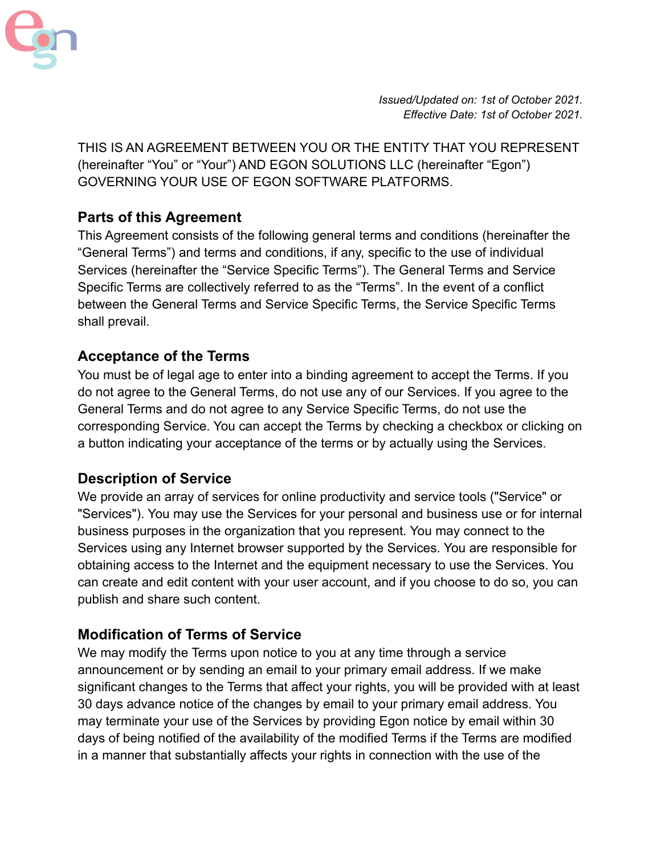

*Issued/Updated on: 1st of October 2021. Effective Date: 1st of October 2021.*

THIS IS AN AGREEMENT BETWEEN YOU OR THE ENTITY THAT YOU REPRESENT (hereinafter "You" or "Your") AND EGON SOLUTIONS LLC (hereinafter "Egon") GOVERNING YOUR USE OF EGON SOFTWARE PLATFORMS.

### **Parts of this Agreement**

This Agreement consists of the following general terms and conditions (hereinafter the "General Terms") and terms and conditions, if any, specific to the use of individual Services (hereinafter the "Service Specific Terms"). The General Terms and Service Specific Terms are collectively referred to as the "Terms". In the event of a conflict between the General Terms and Service Specific Terms, the Service Specific Terms shall prevail.

#### **Acceptance of the Terms**

You must be of legal age to enter into a binding agreement to accept the Terms. If you do not agree to the General Terms, do not use any of our Services. If you agree to the General Terms and do not agree to any Service Specific Terms, do not use the corresponding Service. You can accept the Terms by checking a checkbox or clicking on a button indicating your acceptance of the terms or by actually using the Services.

#### **Description of Service**

We provide an array of services for online productivity and service tools ("Service" or "Services"). You may use the Services for your personal and business use or for internal business purposes in the organization that you represent. You may connect to the Services using any Internet browser supported by the Services. You are responsible for obtaining access to the Internet and the equipment necessary to use the Services. You can create and edit content with your user account, and if you choose to do so, you can publish and share such content.

#### **Modification of Terms of Service**

We may modify the Terms upon notice to you at any time through a service announcement or by sending an email to your primary email address. If we make significant changes to the Terms that affect your rights, you will be provided with at least 30 days advance notice of the changes by email to your primary email address. You may terminate your use of the Services by providing Egon notice by email within 30 days of being notified of the availability of the modified Terms if the Terms are modified in a manner that substantially affects your rights in connection with the use of the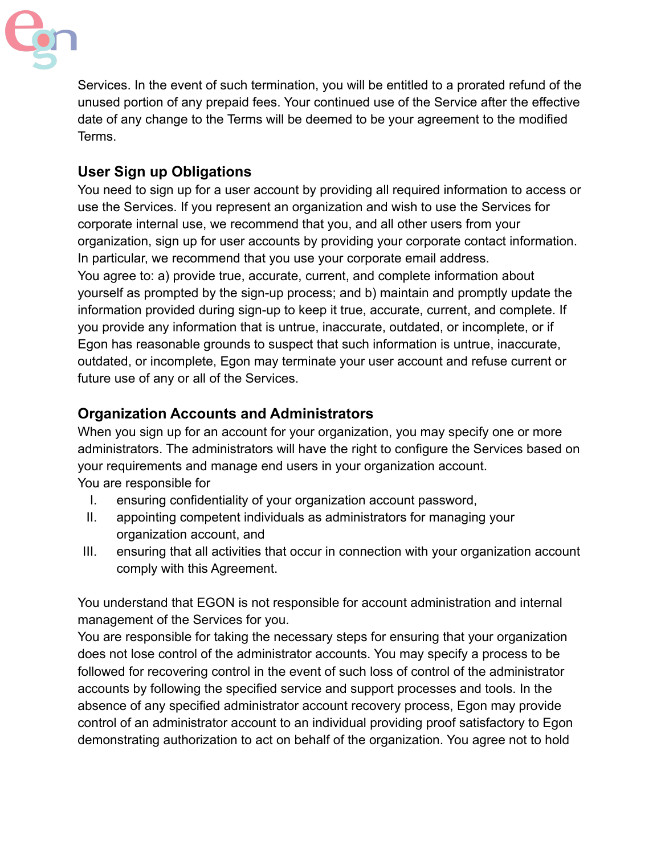

Services. In the event of such termination, you will be entitled to a prorated refund of the unused portion of any prepaid fees. Your continued use of the Service after the effective date of any change to the Terms will be deemed to be your agreement to the modified Terms.

## **User Sign up Obligations**

You need to sign up for a user account by providing all required information to access or use the Services. If you represent an organization and wish to use the Services for corporate internal use, we recommend that you, and all other users from your organization, sign up for user accounts by providing your corporate contact information. In particular, we recommend that you use your corporate email address. You agree to: a) provide true, accurate, current, and complete information about yourself as prompted by the sign-up process; and b) maintain and promptly update the information provided during sign-up to keep it true, accurate, current, and complete. If you provide any information that is untrue, inaccurate, outdated, or incomplete, or if Egon has reasonable grounds to suspect that such information is untrue, inaccurate, outdated, or incomplete, Egon may terminate your user account and refuse current or future use of any or all of the Services.

### **Organization Accounts and Administrators**

When you sign up for an account for your organization, you may specify one or more administrators. The administrators will have the right to configure the Services based on your requirements and manage end users in your organization account. You are responsible for

- I. ensuring confidentiality of your organization account password,
- II. appointing competent individuals as administrators for managing your organization account, and
- III. ensuring that all activities that occur in connection with your organization account comply with this Agreement.

You understand that EGON is not responsible for account administration and internal management of the Services for you.

You are responsible for taking the necessary steps for ensuring that your organization does not lose control of the administrator accounts. You may specify a process to be followed for recovering control in the event of such loss of control of the administrator accounts by following the specified service and support processes and tools. In the absence of any specified administrator account recovery process, Egon may provide control of an administrator account to an individual providing proof satisfactory to Egon demonstrating authorization to act on behalf of the organization. You agree not to hold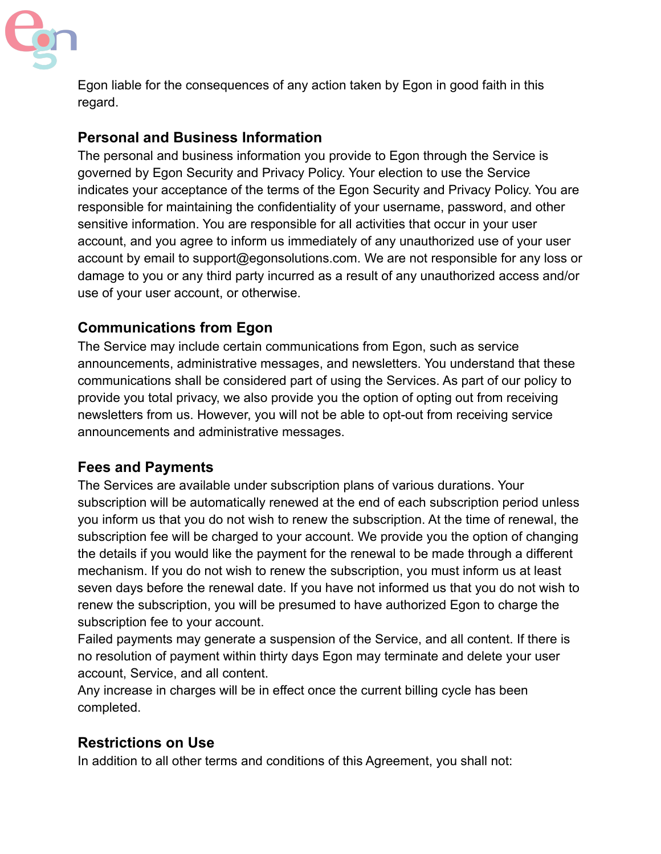

Egon liable for the consequences of any action taken by Egon in good faith in this regard.

## **Personal and Business Information**

The personal and business information you provide to Egon through the Service is governed by Egon Security and Privacy Policy. Your election to use the Service indicates your acceptance of the terms of the Egon Security and Privacy Policy. You are responsible for maintaining the confidentiality of your username, password, and other sensitive information. You are responsible for all activities that occur in your user account, and you agree to inform us immediately of any unauthorized use of your user account by email to support@egonsolutions.com. We are not responsible for any loss or damage to you or any third party incurred as a result of any unauthorized access and/or use of your user account, or otherwise.

## **Communications from Egon**

The Service may include certain communications from Egon, such as service announcements, administrative messages, and newsletters. You understand that these communications shall be considered part of using the Services. As part of our policy to provide you total privacy, we also provide you the option of opting out from receiving newsletters from us. However, you will not be able to opt-out from receiving service announcements and administrative messages.

### **Fees and Payments**

The Services are available under subscription plans of various durations. Your subscription will be automatically renewed at the end of each subscription period unless you inform us that you do not wish to renew the subscription. At the time of renewal, the subscription fee will be charged to your account. We provide you the option of changing the details if you would like the payment for the renewal to be made through a different mechanism. If you do not wish to renew the subscription, you must inform us at least seven days before the renewal date. If you have not informed us that you do not wish to renew the subscription, you will be presumed to have authorized Egon to charge the subscription fee to your account.

Failed payments may generate a suspension of the Service, and all content. If there is no resolution of payment within thirty days Egon may terminate and delete your user account, Service, and all content.

Any increase in charges will be in effect once the current billing cycle has been completed.

# **Restrictions on Use**

In addition to all other terms and conditions of this Agreement, you shall not: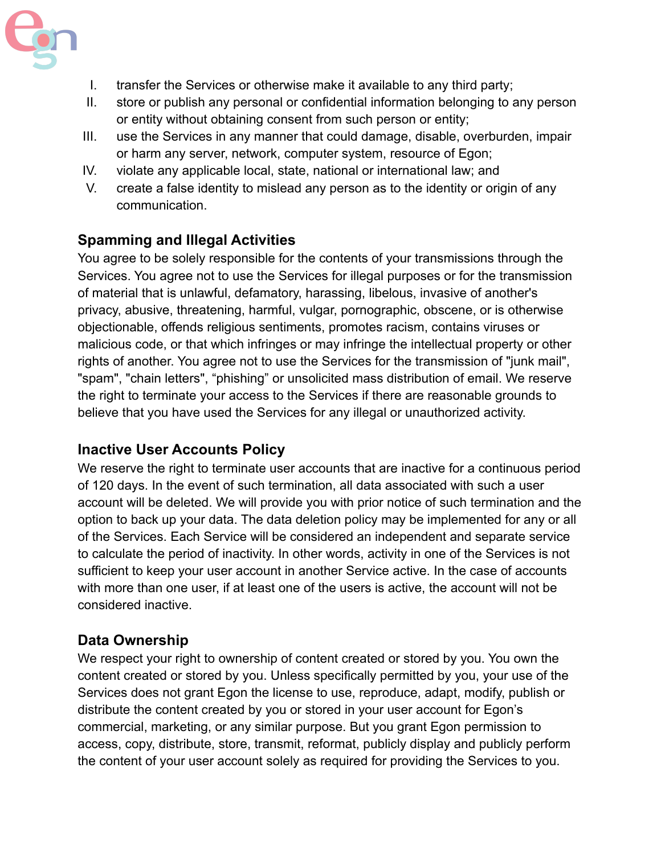

- I. transfer the Services or otherwise make it available to any third party;
- II. store or publish any personal or confidential information belonging to any person or entity without obtaining consent from such person or entity;
- III. use the Services in any manner that could damage, disable, overburden, impair or harm any server, network, computer system, resource of Egon;
- IV. violate any applicable local, state, national or international law; and
- V. create a false identity to mislead any person as to the identity or origin of any communication.

### **Spamming and Illegal Activities**

You agree to be solely responsible for the contents of your transmissions through the Services. You agree not to use the Services for illegal purposes or for the transmission of material that is unlawful, defamatory, harassing, libelous, invasive of another's privacy, abusive, threatening, harmful, vulgar, pornographic, obscene, or is otherwise objectionable, offends religious sentiments, promotes racism, contains viruses or malicious code, or that which infringes or may infringe the intellectual property or other rights of another. You agree not to use the Services for the transmission of "junk mail", "spam", "chain letters", "phishing" or unsolicited mass distribution of email. We reserve the right to terminate your access to the Services if there are reasonable grounds to believe that you have used the Services for any illegal or unauthorized activity.

#### **Inactive User Accounts Policy**

We reserve the right to terminate user accounts that are inactive for a continuous period of 120 days. In the event of such termination, all data associated with such a user account will be deleted. We will provide you with prior notice of such termination and the option to back up your data. The data deletion policy may be implemented for any or all of the Services. Each Service will be considered an independent and separate service to calculate the period of inactivity. In other words, activity in one of the Services is not sufficient to keep your user account in another Service active. In the case of accounts with more than one user, if at least one of the users is active, the account will not be considered inactive.

#### **Data Ownership**

We respect your right to ownership of content created or stored by you. You own the content created or stored by you. Unless specifically permitted by you, your use of the Services does not grant Egon the license to use, reproduce, adapt, modify, publish or distribute the content created by you or stored in your user account for Egon's commercial, marketing, or any similar purpose. But you grant Egon permission to access, copy, distribute, store, transmit, reformat, publicly display and publicly perform the content of your user account solely as required for providing the Services to you.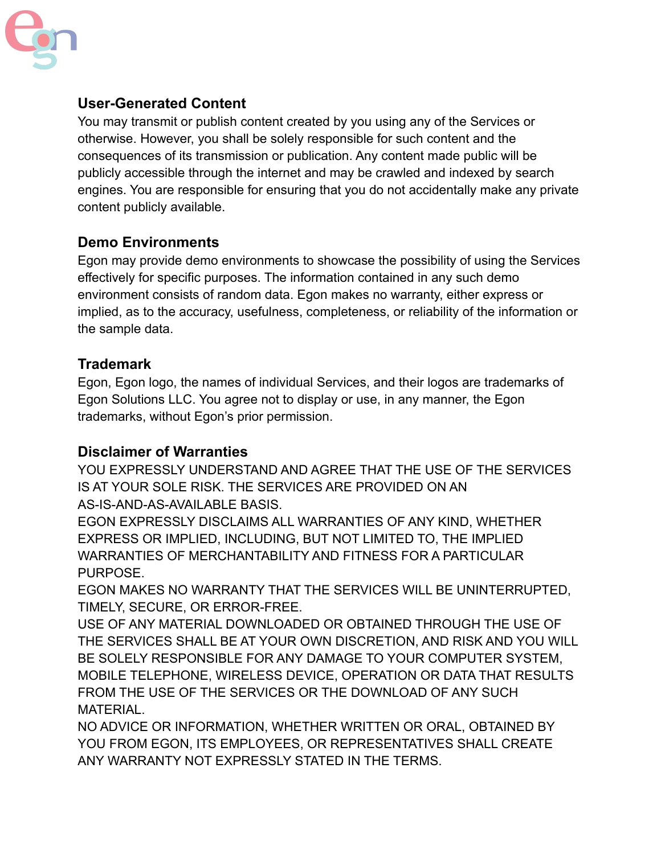

## **User-Generated Content**

You may transmit or publish content created by you using any of the Services or otherwise. However, you shall be solely responsible for such content and the consequences of its transmission or publication. Any content made public will be publicly accessible through the internet and may be crawled and indexed by search engines. You are responsible for ensuring that you do not accidentally make any private content publicly available.

### **Demo Environments**

Egon may provide demo environments to showcase the possibility of using the Services effectively for specific purposes. The information contained in any such demo environment consists of random data. Egon makes no warranty, either express or implied, as to the accuracy, usefulness, completeness, or reliability of the information or the sample data.

#### **Trademark**

Egon, Egon logo, the names of individual Services, and their logos are trademarks of Egon Solutions LLC. You agree not to display or use, in any manner, the Egon trademarks, without Egon's prior permission.

#### **Disclaimer of Warranties**

YOU EXPRESSLY UNDERSTAND AND AGREE THAT THE USE OF THE SERVICES IS AT YOUR SOLE RISK. THE SERVICES ARE PROVIDED ON AN AS-IS-AND-AS-AVAILABLE BASIS.

EGON EXPRESSLY DISCLAIMS ALL WARRANTIES OF ANY KIND, WHETHER EXPRESS OR IMPLIED, INCLUDING, BUT NOT LIMITED TO, THE IMPLIED WARRANTIES OF MERCHANTABILITY AND FITNESS FOR A PARTICULAR PURPOSE.

EGON MAKES NO WARRANTY THAT THE SERVICES WILL BE UNINTERRUPTED, TIMELY, SECURE, OR ERROR-FREE.

USE OF ANY MATERIAL DOWNLOADED OR OBTAINED THROUGH THE USE OF THE SERVICES SHALL BE AT YOUR OWN DISCRETION, AND RISK AND YOU WILL BE SOLELY RESPONSIBLE FOR ANY DAMAGE TO YOUR COMPUTER SYSTEM, MOBILE TELEPHONE, WIRELESS DEVICE, OPERATION OR DATA THAT RESULTS FROM THE USE OF THE SERVICES OR THE DOWNLOAD OF ANY SUCH MATERIAL.

NO ADVICE OR INFORMATION, WHETHER WRITTEN OR ORAL, OBTAINED BY YOU FROM EGON, ITS EMPLOYEES, OR REPRESENTATIVES SHALL CREATE ANY WARRANTY NOT EXPRESSLY STATED IN THE TERMS.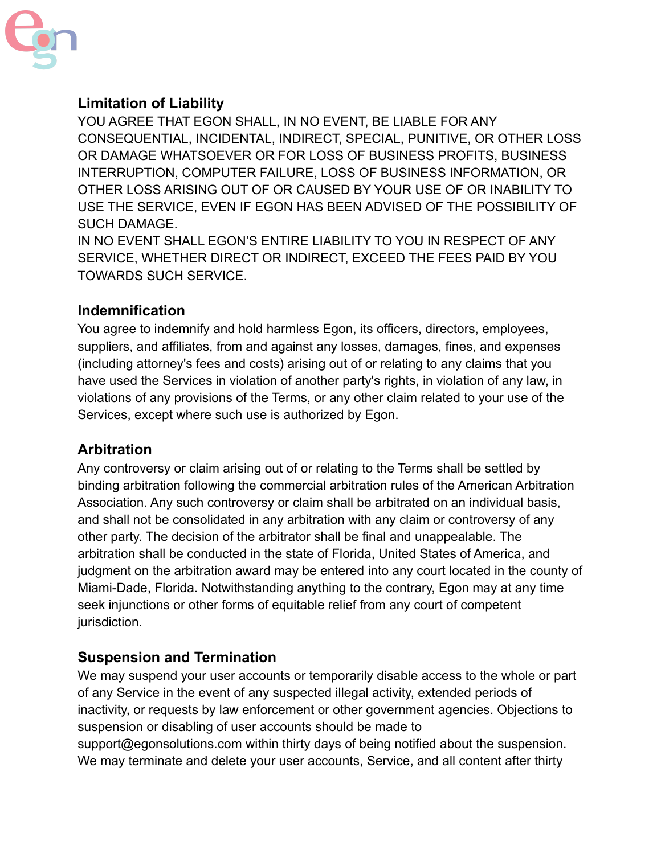

## **Limitation of Liability**

YOU AGREE THAT EGON SHALL, IN NO EVENT, BE LIABLE FOR ANY CONSEQUENTIAL, INCIDENTAL, INDIRECT, SPECIAL, PUNITIVE, OR OTHER LOSS OR DAMAGE WHATSOEVER OR FOR LOSS OF BUSINESS PROFITS, BUSINESS INTERRUPTION, COMPUTER FAILURE, LOSS OF BUSINESS INFORMATION, OR OTHER LOSS ARISING OUT OF OR CAUSED BY YOUR USE OF OR INABILITY TO USE THE SERVICE, EVEN IF EGON HAS BEEN ADVISED OF THE POSSIBILITY OF SUCH DAMAGE.

IN NO EVENT SHALL EGON'S ENTIRE LIABILITY TO YOU IN RESPECT OF ANY SERVICE, WHETHER DIRECT OR INDIRECT, EXCEED THE FEES PAID BY YOU TOWARDS SUCH SERVICE.

#### **Indemnification**

You agree to indemnify and hold harmless Egon, its officers, directors, employees, suppliers, and affiliates, from and against any losses, damages, fines, and expenses (including attorney's fees and costs) arising out of or relating to any claims that you have used the Services in violation of another party's rights, in violation of any law, in violations of any provisions of the Terms, or any other claim related to your use of the Services, except where such use is authorized by Egon.

#### **Arbitration**

Any controversy or claim arising out of or relating to the Terms shall be settled by binding arbitration following the commercial arbitration rules of the American Arbitration Association. Any such controversy or claim shall be arbitrated on an individual basis, and shall not be consolidated in any arbitration with any claim or controversy of any other party. The decision of the arbitrator shall be final and unappealable. The arbitration shall be conducted in the state of Florida, United States of America, and judgment on the arbitration award may be entered into any court located in the county of Miami-Dade, Florida. Notwithstanding anything to the contrary, Egon may at any time seek injunctions or other forms of equitable relief from any court of competent jurisdiction.

#### **Suspension and Termination**

We may suspend your user accounts or temporarily disable access to the whole or part of any Service in the event of any suspected illegal activity, extended periods of inactivity, or requests by law enforcement or other government agencies. Objections to suspension or disabling of user accounts should be made to support@egonsolutions.com within thirty days of being notified about the suspension. We may terminate and delete your user accounts, Service, and all content after thirty